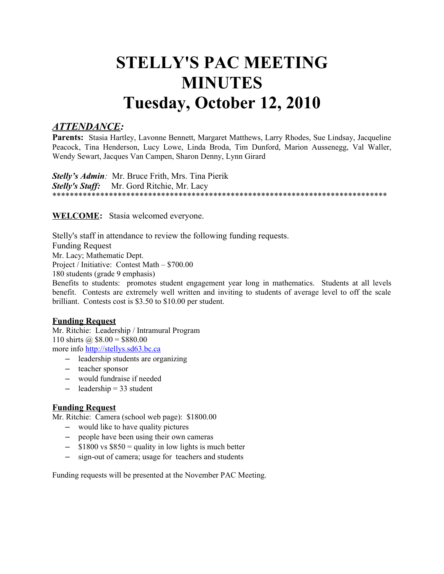# **STELLY'S PAC MEETING MINUTES Tuesday, October 12, 2010**

# *ATTENDANCE:*

**Parents:** Stasia Hartley, Lavonne Bennett, Margaret Matthews, Larry Rhodes, Sue Lindsay, Jacqueline Peacock, Tina Henderson, Lucy Lowe, Linda Broda, Tim Dunford, Marion Aussenegg, Val Waller, Wendy Sewart, Jacques Van Campen, Sharon Denny, Lynn Girard

*Stelly's Admin:* Mr. Bruce Frith, Mrs. Tina Pierik *Stelly's Staff:* Mr. Gord Ritchie, Mr. Lacy \*\*\*\*\*\*\*\*\*\*\*\*\*\*\*\*\*\*\*\*\*\*\*\*\*\*\*\*\*\*\*\*\*\*\*\*\*\*\*\*\*\*\*\*\*\*\*\*\*\*\*\*\*\*\*\*\*\*\*\*\*\*\*\*\*\*\*\*\*\*\*\*\*\*\*\*\*

**WELCOME:** Stasia welcomed everyone.

Stelly's staff in attendance to review the following funding requests. Funding Request Mr. Lacy; Mathematic Dept. Project / Initiative: Contest Math – \$700.00 180 students (grade 9 emphasis)

Benefits to students: promotes student engagement year long in mathematics. Students at all levels benefit. Contests are extremely well written and inviting to students of average level to off the scale brilliant. Contests cost is \$3.50 to \$10.00 per student.

# **Funding Request**

Mr. Ritchie: Leadership / Intramural Program 110 shirts @  $$8.00 = $880.00$ more info [http://stellys.sd63.bc.ca](http://stellys.sd63.bc.ca/)

- leadership students are organizing
- teacher sponsor
- would fundraise if needed
- $-\qquad$  leadership = 33 student

## **Funding Request**

Mr. Ritchie: Camera (school web page): \$1800.00

- would like to have quality pictures
- people have been using their own cameras
- $-$  \$1800 vs \$850 = quality in low lights is much better
- sign-out of camera; usage for teachers and students

Funding requests will be presented at the November PAC Meeting.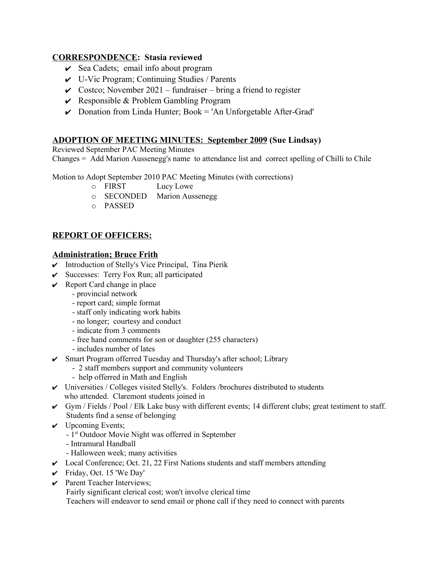## **CORRESPONDENCE: Stasia reviewed**

- $\vee$  Sea Cadets; email info about program
- $\vee$  U-Vic Program; Continuing Studies / Parents
- $\vee$  Costco; November 2021 fundraiser bring a friend to register
- $\vee$  Responsible & Problem Gambling Program
- $\triangleright$  Donation from Linda Hunter; Book = 'An Unforgetable After-Grad'

# **ADOPTION OF MEETING MINUTES: September 2009 (Sue Lindsay)**

Reviewed September PAC Meeting Minutes

Changes = Add Marion Aussenegg's name to attendance list and correct spelling of Chilli to Chile

Motion to Adopt September 2010 PAC Meeting Minutes (with corrections)

- o FIRST Lucy Lowe
- o SECONDED Marion Aussenegg
- o PASSED

# **REPORT OF OFFICERS:**

## **Administration; Bruce Frith**

- $\checkmark$  Introduction of Stelly's Vice Principal, Tina Pierik
- $\checkmark$  Successes: Terry Fox Run; all participated
- $\vee$  Report Card change in place
	- provincial network
	- report card; simple format
	- staff only indicating work habits
	- no longer; courtesy and conduct
	- indicate from 3 comments
	- free hand comments for son or daughter (255 characters)
	- includes number of lates
- ✔ Smart Program offerred Tuesday and Thursday's after school; Library
	- 2 staff members support and community volunteers
		- help offerred in Math and English
- $\vee$  Universities / Colleges visited Stelly's. Folders / brochures distributed to students who attended. Claremont students joined in
- $\checkmark$  Gym / Fields / Pool / Elk Lake busy with different events; 14 different clubs; great testiment to staff. Students find a sense of belonging
- $\vee$  Upcoming Events;
	- 1st Outdoor Movie Night was offerred in September
	- Intramural Handball
	- Halloween week; many activities
- $\vee$  Local Conference; Oct. 21, 22 First Nations students and staff members attending
- $\checkmark$  Friday, Oct. 15 'We Day'
- $\triangleright$  Parent Teacher Interviews;
	- Fairly significant clerical cost; won't involve clerical time

Teachers will endeavor to send email or phone call if they need to connect with parents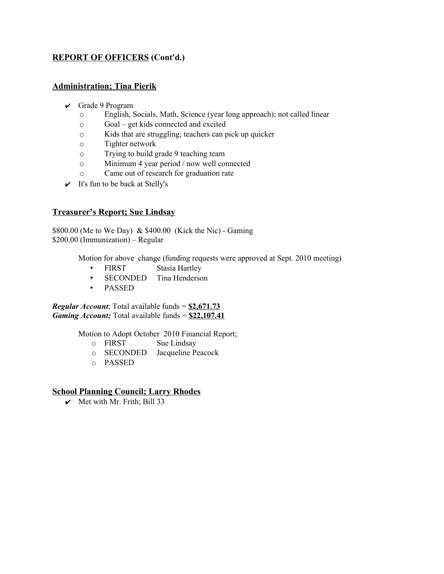# **REPORT OF OFFICERS (Cont'd.)**

## **Administration; Tina Pierik**

- $\vee$  Grade 9 Program
	- o English, Socials, Math, Science (year long approach); not called linear
	- o Goal get kids connected and excited
	- o Kids that are struggling; teachers can pick up quicker
	- o Tighter network
	- o Trying to build grade 9 teaching team
	- o Minimum 4 year period / now well connected
	- o Came out of research for graduation rate
- $\checkmark$  It's fun to be back at Stelly's

#### **Treasurer's Report; Sue Lindsay**

\$800.00 (Me to We Day) & \$400.00 (Kick the Nic) - Gaming \$200.00 (Immunization) – Regular

Motion for above change (funding requests were approved at Sept. 2010 meeting)

- FIRST Stasia Hartley
- SECONDED Tina Henderson
- PASSED

*Regular Account*; Total available funds = **\$2,671.73** *Gaming Account;* Total available funds = **\$22,107.41**

Motion to Adopt October 2010 Financial Report;

- o FIRST Sue Lindsay
- o SECONDED Jacqueline Peacock
- o PASSED

## **School Planning Council; Larry Rhodes**

 $\vee$  Met with Mr. Frith; Bill 33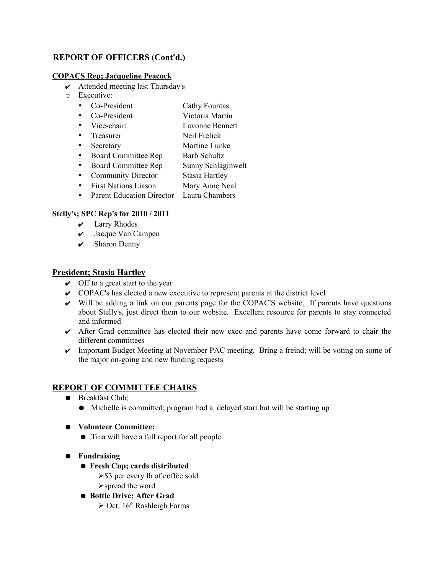# **REPORT OF OFFICERS (Cont'd.)**

## **COPACS Rep; Jacqueline Peacock**

- $\boldsymbol{\nu}$  Attended meeting last Thursday's
- o Executive:
	- Co-President Cathy Fountas
	- Co-President Victoria Martin
	- Vice-chair: Lavonne Bennett
	- Treasurer Neil Frelick
	- Secretary Martine Lunke
	- Board Committee Rep Barb Schultz
	- Board Committee Rep Sunny Schlaginwelt
	- Community Director Stasia Hartley
	- First Nations Liason Mary Anne Neal
	- Parent Education Director Laura Chambers

# **Stelly's; SPC Rep's for 2010 / 2011**

- $\mathcal V$  Larry Rhodes
- ✔ Jacque Van Campen
- $\checkmark$  Sharon Denny

# **President; Stasia Hartley**

- $\vee$  Off to a great start to the year
- ✔ COPAC's has elected a new executive to represent parents at the district level
- $\checkmark$  Will be adding a link on our parents page for the COPAC'S website. If parents have questions about Stelly's, just direct them to our website. Excellent resource for parents to stay connected and informed
- $\triangleright$  After Grad committee has elected their new exec and parents have come forward to chair the different committees
- ✔ Important Budget Meeting at November PAC meeting. Bring a freind; will be voting on some of the major on-going and new funding requests

# **REPORT OF COMMITTEE CHAIRS**

- Breakfast Club;
	- Michelle is committed; program had a delayed start but will be starting up
- **Volunteer Committee:**
	- Tina will have a full report for all people
- **Fundraising**
	- **Fresh Cup; cards distributed**
		- ➢\$3 per every lb of coffee sold
		- ➢spread the word
	- **Bottle Drive; After Grad**
		- $\geq$  Oct. 16<sup>th</sup> Rashleigh Farms